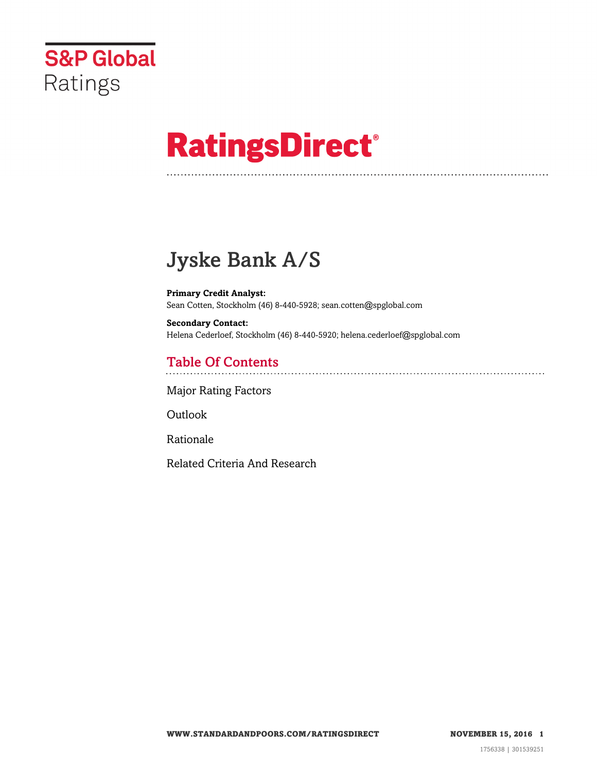

# **RatingsDirect®**

# Jyske Bank A/S

**Primary Credit Analyst:** Sean Cotten, Stockholm (46) 8-440-5928; sean.cotten@spglobal.com

**Secondary Contact:** Helena Cederloef, Stockholm (46) 8-440-5920; helena.cederloef@spglobal.com

## Table Of Contents

[Major Rating Factors](#page-1-0)

[Outlook](#page--1-0)

[Rationale](#page-2-0)

[Related Criteria And Research](#page-10-0)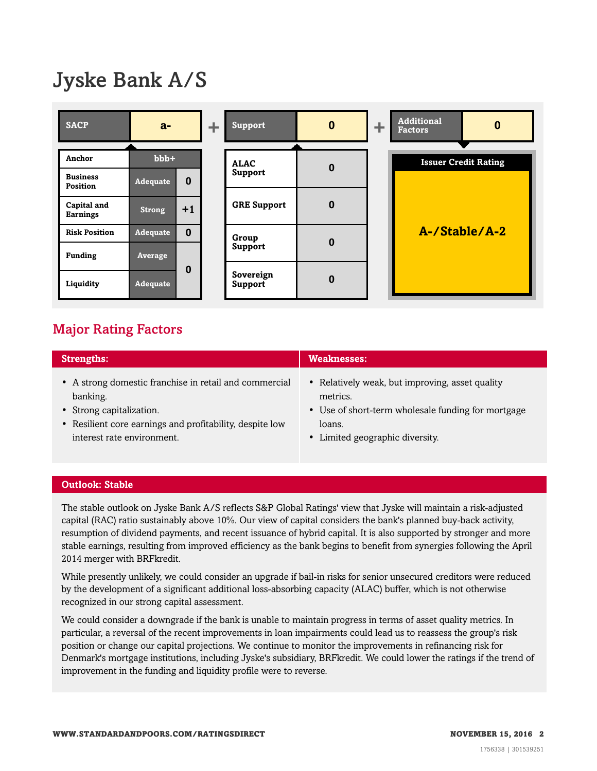# Jyske Bank A/S

| <b>SACP</b>                        | $a-$            |          |  |                      |          |  | ÷. | <b>Support</b>              | $\bf{0}$ | ÷ | <b>Additional</b><br><b>Factors</b> | $\boldsymbol{0}$ |
|------------------------------------|-----------------|----------|--|----------------------|----------|--|----|-----------------------------|----------|---|-------------------------------------|------------------|
|                                    |                 |          |  |                      |          |  |    |                             |          |   |                                     |                  |
| Anchor                             | $bbb+$          |          |  | <b>ALAC</b>          | $\bf{0}$ |  |    | <b>Issuer Credit Rating</b> |          |   |                                     |                  |
| <b>Business</b><br><b>Position</b> | <b>Adequate</b> | $\bf{0}$ |  | <b>Support</b>       |          |  |    |                             |          |   |                                     |                  |
| Capital and<br><b>Earnings</b>     | <b>Strong</b>   | $+1$     |  | <b>GRE Support</b>   | $\bf{0}$ |  |    |                             |          |   |                                     |                  |
| <b>Risk Position</b>               | <b>Adequate</b> | $\bf{0}$ |  | Group                | $\bf{0}$ |  |    | A-/Stable/A-2               |          |   |                                     |                  |
| <b>Funding</b>                     | Average         |          |  | Support              |          |  |    |                             |          |   |                                     |                  |
| Liquidity                          | Adequate        | $\bf{0}$ |  | Sovereign<br>Support | $\bf{0}$ |  |    |                             |          |   |                                     |                  |

### <span id="page-1-0"></span>Major Rating Factors

| <b>Strengths:</b>                                        | <b>Weaknesses:</b>                                 |  |  |  |  |
|----------------------------------------------------------|----------------------------------------------------|--|--|--|--|
| • A strong domestic franchise in retail and commercial   | • Relatively weak, but improving, asset quality    |  |  |  |  |
| banking.                                                 | metrics.                                           |  |  |  |  |
| • Strong capitalization.                                 | • Use of short-term wholesale funding for mortgage |  |  |  |  |
| • Resilient core earnings and profitability, despite low | loans.                                             |  |  |  |  |
| interest rate environment.                               | • Limited geographic diversity.                    |  |  |  |  |

#### **Outlook: Stable**

The stable outlook on Jyske Bank A/S reflects S&P Global Ratings' view that Jyske will maintain a risk-adjusted capital (RAC) ratio sustainably above 10%. Our view of capital considers the bank's planned buy-back activity, resumption of dividend payments, and recent issuance of hybrid capital. It is also supported by stronger and more stable earnings, resulting from improved efficiency as the bank begins to benefit from synergies following the April 2014 merger with BRFkredit.

While presently unlikely, we could consider an upgrade if bail-in risks for senior unsecured creditors were reduced by the development of a significant additional loss-absorbing capacity (ALAC) buffer, which is not otherwise recognized in our strong capital assessment.

We could consider a downgrade if the bank is unable to maintain progress in terms of asset quality metrics. In particular, a reversal of the recent improvements in loan impairments could lead us to reassess the group's risk position or change our capital projections. We continue to monitor the improvements in refinancing risk for Denmark's mortgage institutions, including Jyske's subsidiary, BRFkredit. We could lower the ratings if the trend of improvement in the funding and liquidity profile were to reverse.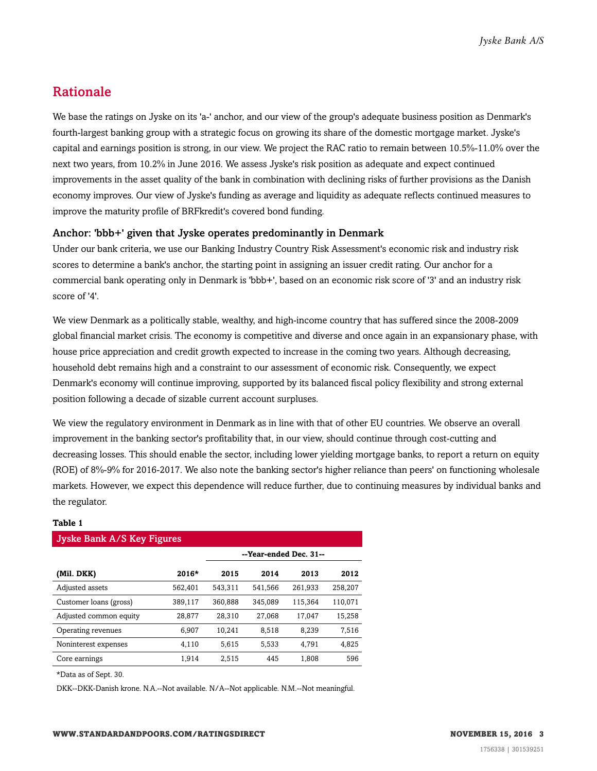### <span id="page-2-0"></span>Rationale

We base the ratings on Jyske on its 'a-' anchor, and our view of the group's adequate business position as Denmark's fourth-largest banking group with a strategic focus on growing its share of the domestic mortgage market. Jyske's capital and earnings position is strong, in our view. We project the RAC ratio to remain between 10.5%-11.0% over the next two years, from 10.2% in June 2016. We assess Jyske's risk position as adequate and expect continued improvements in the asset quality of the bank in combination with declining risks of further provisions as the Danish economy improves. Our view of Jyske's funding as average and liquidity as adequate reflects continued measures to improve the maturity profile of BRFkredit's covered bond funding.

#### Anchor: 'bbb+' given that Jyske operates predominantly in Denmark

Under our bank criteria, we use our Banking Industry Country Risk Assessment's economic risk and industry risk scores to determine a bank's anchor, the starting point in assigning an issuer credit rating. Our anchor for a commercial bank operating only in Denmark is 'bbb+', based on an economic risk score of '3' and an industry risk score of '4'.

We view Denmark as a politically stable, wealthy, and high-income country that has suffered since the 2008-2009 global financial market crisis. The economy is competitive and diverse and once again in an expansionary phase, with house price appreciation and credit growth expected to increase in the coming two years. Although decreasing, household debt remains high and a constraint to our assessment of economic risk. Consequently, we expect Denmark's economy will continue improving, supported by its balanced fiscal policy flexibility and strong external position following a decade of sizable current account surpluses.

We view the regulatory environment in Denmark as in line with that of other EU countries. We observe an overall improvement in the banking sector's profitability that, in our view, should continue through cost-cutting and decreasing losses. This should enable the sector, including lower yielding mortgage banks, to report a return on equity (ROE) of 8%-9% for 2016-2017. We also note the banking sector's higher reliance than peers' on functioning wholesale markets. However, we expect this dependence will reduce further, due to continuing measures by individual banks and the regulator.

#### **Table 1**

| <b>Jyske Bank A/S Key Figures</b> |         |                        |         |         |         |  |  |  |
|-----------------------------------|---------|------------------------|---------|---------|---------|--|--|--|
|                                   |         | --Year-ended Dec. 31-- |         |         |         |  |  |  |
| (Mil. DKK)                        | 2016*   | 2015                   | 2014    | 2013    | 2012    |  |  |  |
| Adjusted assets                   | 562,401 | 543.311                | 541.566 | 261.933 | 258,207 |  |  |  |
| Customer loans (gross)            | 389.117 | 360.888                | 345.089 | 115.364 | 110.071 |  |  |  |
| Adjusted common equity            | 28.877  | 28.310                 | 27,068  | 17.047  | 15,258  |  |  |  |
| Operating revenues                | 6.907   | 10.241                 | 8.518   | 8.239   | 7,516   |  |  |  |
| Noninterest expenses              | 4,110   | 5,615                  | 5,533   | 4.791   | 4,825   |  |  |  |
| Core earnings                     | 1,914   | 2,515                  | 445     | 1,808   | 596     |  |  |  |
|                                   |         |                        |         |         |         |  |  |  |

\*Data as of Sept. 30.

DKK--DKK-Danish krone. N.A.--Not available. N/A--Not applicable. N.M.--Not meaningful.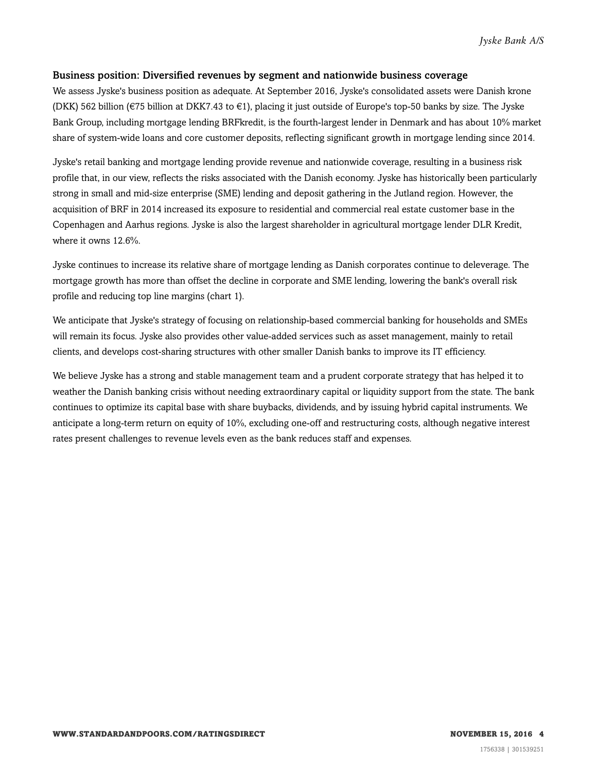#### Business position: Diversified revenues by segment and nationwide business coverage

We assess Jyske's business position as adequate. At September 2016, Jyske's consolidated assets were Danish krone (DKK) 562 billion (€75 billion at DKK7.43 to €1), placing it just outside of Europe's top-50 banks by size. The Jyske Bank Group, including mortgage lending BRFkredit, is the fourth-largest lender in Denmark and has about 10% market share of system-wide loans and core customer deposits, reflecting significant growth in mortgage lending since 2014.

Jyske's retail banking and mortgage lending provide revenue and nationwide coverage, resulting in a business risk profile that, in our view, reflects the risks associated with the Danish economy. Jyske has historically been particularly strong in small and mid-size enterprise (SME) lending and deposit gathering in the Jutland region. However, the acquisition of BRF in 2014 increased its exposure to residential and commercial real estate customer base in the Copenhagen and Aarhus regions. Jyske is also the largest shareholder in agricultural mortgage lender DLR Kredit, where it owns 12.6%.

Jyske continues to increase its relative share of mortgage lending as Danish corporates continue to deleverage. The mortgage growth has more than offset the decline in corporate and SME lending, lowering the bank's overall risk profile and reducing top line margins (chart 1).

We anticipate that Jyske's strategy of focusing on relationship-based commercial banking for households and SMEs will remain its focus. Jyske also provides other value-added services such as asset management, mainly to retail clients, and develops cost-sharing structures with other smaller Danish banks to improve its IT efficiency.

We believe Jyske has a strong and stable management team and a prudent corporate strategy that has helped it to weather the Danish banking crisis without needing extraordinary capital or liquidity support from the state. The bank continues to optimize its capital base with share buybacks, dividends, and by issuing hybrid capital instruments. We anticipate a long-term return on equity of 10%, excluding one-off and restructuring costs, although negative interest rates present challenges to revenue levels even as the bank reduces staff and expenses.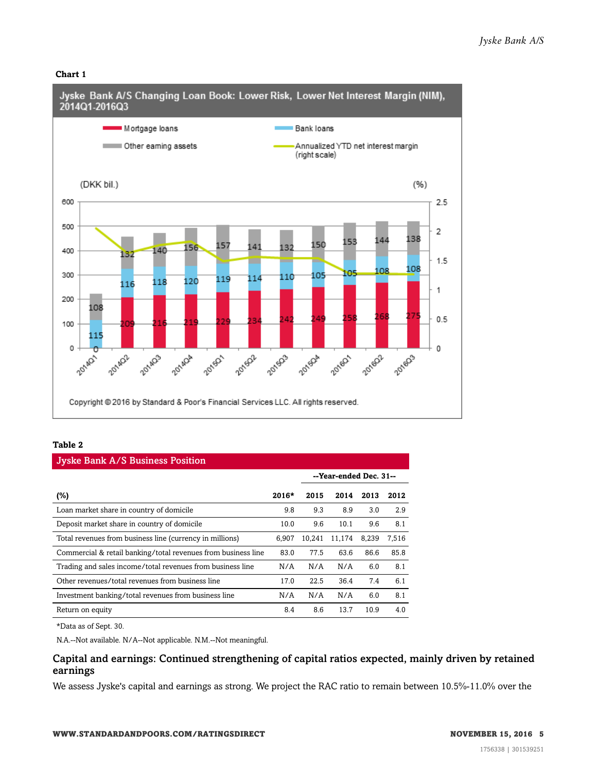#### **Chart 1**



#### **Table 2**

| <b>Jyske Bank A/S Business Position</b>                       |         |        |                        |       |       |  |  |  |
|---------------------------------------------------------------|---------|--------|------------------------|-------|-------|--|--|--|
|                                                               |         |        | --Year-ended Dec. 31-- |       |       |  |  |  |
| $(\%)$                                                        | $2016*$ | 2015   | 2014                   | 2013  | 2012  |  |  |  |
| Loan market share in country of domicile                      | 9.8     | 9.3    | 8.9                    | 3.0   | 2.9   |  |  |  |
| Deposit market share in country of domicile                   | 10.0    | 9.6    | 10.1                   | 9.6   | 8.1   |  |  |  |
| Total revenues from business line (currency in millions)      | 6.907   | 10.241 | 11.174                 | 8.239 | 7,516 |  |  |  |
| Commercial & retail banking/total revenues from business line | 83.0    | 77.5   | 63.6                   | 86.6  | 85.8  |  |  |  |
| Trading and sales income/total revenues from business line    | N/A     | N/A    | N/A                    | 6.0   | 8.1   |  |  |  |
| Other revenues/total revenues from business line              | 17.0    | 22.5   | 36.4                   | 7.4   | 6.1   |  |  |  |
| Investment banking/total revenues from business line          | N/A     | N/A    | N/A                    | 6.0   | 8.1   |  |  |  |
| Return on equity                                              | 8.4     | 8.6    | 13.7                   | 10.9  | 4.0   |  |  |  |

\*Data as of Sept. 30.

N.A.--Not available. N/A--Not applicable. N.M.--Not meaningful.

#### Capital and earnings: Continued strengthening of capital ratios expected, mainly driven by retained earnings

We assess Jyske's capital and earnings as strong. We project the RAC ratio to remain between 10.5%-11.0% over the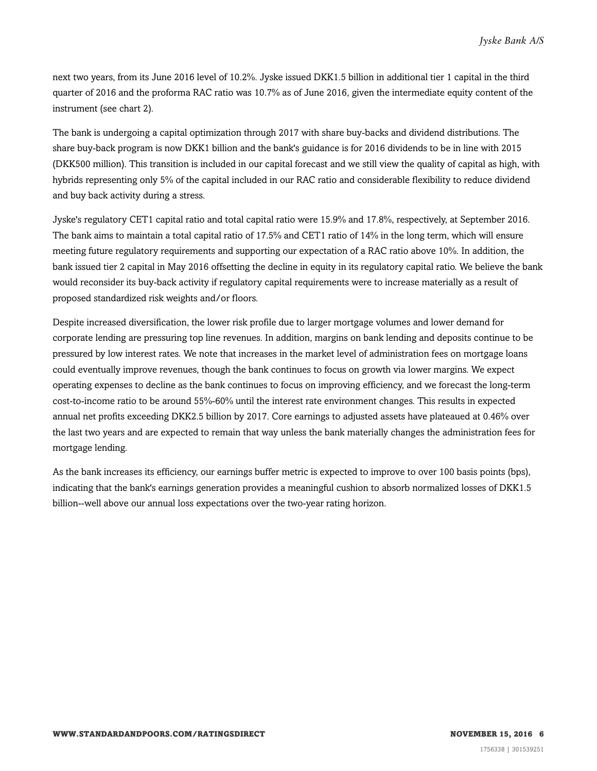next two years, from its June 2016 level of 10.2%. Jyske issued DKK1.5 billion in additional tier 1 capital in the third quarter of 2016 and the proforma RAC ratio was 10.7% as of June 2016, given the intermediate equity content of the instrument (see chart 2).

The bank is undergoing a capital optimization through 2017 with share buy-backs and dividend distributions. The share buy-back program is now DKK1 billion and the bank's guidance is for 2016 dividends to be in line with 2015 (DKK500 million). This transition is included in our capital forecast and we still view the quality of capital as high, with hybrids representing only 5% of the capital included in our RAC ratio and considerable flexibility to reduce dividend and buy back activity during a stress.

Jyske's regulatory CET1 capital ratio and total capital ratio were 15.9% and 17.8%, respectively, at September 2016. The bank aims to maintain a total capital ratio of 17.5% and CET1 ratio of 14% in the long term, which will ensure meeting future regulatory requirements and supporting our expectation of a RAC ratio above 10%. In addition, the bank issued tier 2 capital in May 2016 offsetting the decline in equity in its regulatory capital ratio. We believe the bank would reconsider its buy-back activity if regulatory capital requirements were to increase materially as a result of proposed standardized risk weights and/or floors.

Despite increased diversification, the lower risk profile due to larger mortgage volumes and lower demand for corporate lending are pressuring top line revenues. In addition, margins on bank lending and deposits continue to be pressured by low interest rates. We note that increases in the market level of administration fees on mortgage loans could eventually improve revenues, though the bank continues to focus on growth via lower margins. We expect operating expenses to decline as the bank continues to focus on improving efficiency, and we forecast the long-term cost-to-income ratio to be around 55%-60% until the interest rate environment changes. This results in expected annual net profits exceeding DKK2.5 billion by 2017. Core earnings to adjusted assets have plateaued at 0.46% over the last two years and are expected to remain that way unless the bank materially changes the administration fees for mortgage lending.

As the bank increases its efficiency, our earnings buffer metric is expected to improve to over 100 basis points (bps), indicating that the bank's earnings generation provides a meaningful cushion to absorb normalized losses of DKK1.5 billion--well above our annual loss expectations over the two-year rating horizon.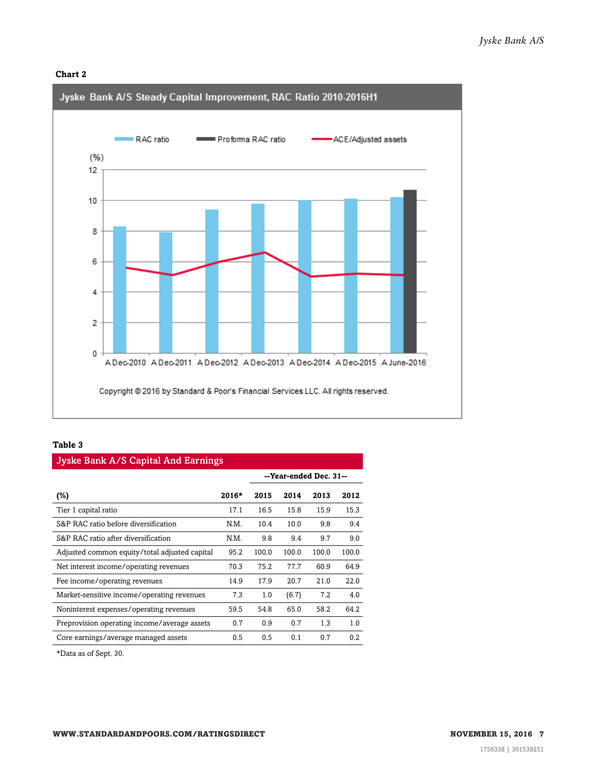#### **Chart 2**



#### **Table 3**

| <b>Jyske Bank A/S Capital And Earnings</b>    |         |                        |       |       |       |  |  |  |  |
|-----------------------------------------------|---------|------------------------|-------|-------|-------|--|--|--|--|
|                                               |         | --Year-ended Dec. 31-- |       |       |       |  |  |  |  |
| $(\%)$                                        | $2016*$ | 2015                   | 2014  | 2013  | 2012  |  |  |  |  |
| Tier 1 capital ratio                          | 17.1    | 16.5                   | 15.8  | 15.9  | 15.3  |  |  |  |  |
| S&P RAC ratio before diversification          | N.M.    | 10.4                   | 10.0  | 9.8   | 9.4   |  |  |  |  |
| S&P RAC ratio after diversification           | N.M.    | 9.8                    | 9.4   | 9.7   | 9.0   |  |  |  |  |
| Adjusted common equity/total adjusted capital | 95.2    | 100.0                  | 100.0 | 100.0 | 100.0 |  |  |  |  |
| Net interest income/operating revenues        | 70.3    | 75.2                   | 77.7  | 60.9  | 64.9  |  |  |  |  |
| Fee income/operating revenues                 | 14.9    | 17.9                   | 20.7  | 21.0  | 22.0  |  |  |  |  |
| Market-sensitive income/operating revenues    | 7.3     | 1.0                    | (6.7) | 7.2   | 4.0   |  |  |  |  |
| Noninterest expenses/operating revenues       | 59.5    | 54.8                   | 65.0  | 58.2  | 64.2  |  |  |  |  |
| Preprovision operating income/average assets  | 0.7     | 0.9                    | 0.7   | 1.3   | 1.0   |  |  |  |  |
| Core earnings/average managed assets          | 0.5     | 0.5                    | 0.1   | 0.7   | 0.2   |  |  |  |  |

\*Data as of Sept. 30.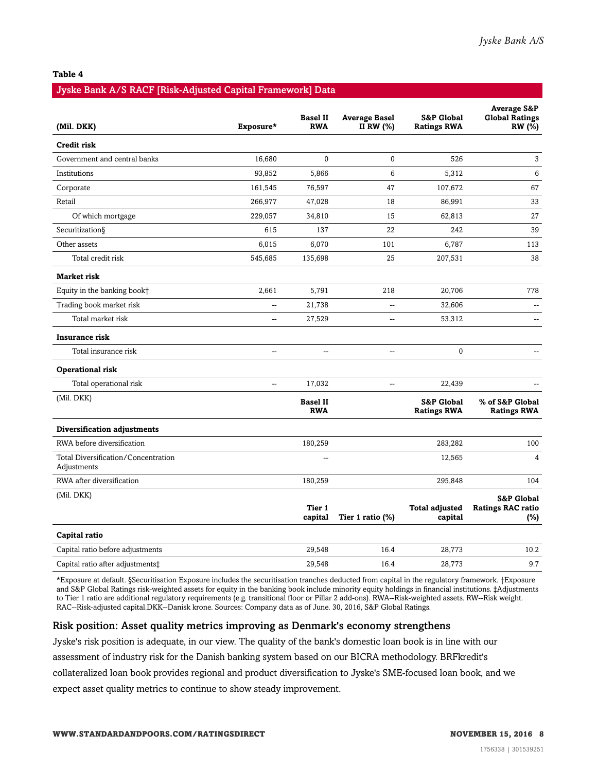#### **Table 4**

#### Jyske Bank A/S RACF [Risk-Adjusted Capital Framework] Data

| (Mil. DKK)                                         | Exposure* | <b>Basel II</b><br><b>RWA</b> | <b>Average Basel</b><br>II RW (%) | <b>S&amp;P Global</b><br><b>Ratings RWA</b> | <b>Average S&amp;P</b><br><b>Global Ratings</b><br>RW (%) |
|----------------------------------------------------|-----------|-------------------------------|-----------------------------------|---------------------------------------------|-----------------------------------------------------------|
| <b>Credit risk</b>                                 |           |                               |                                   |                                             |                                                           |
| Government and central banks                       | 16,680    | $\mathbf{0}$                  | $\mathbf{0}$                      | 526                                         | 3                                                         |
| Institutions                                       | 93,852    | 5,866                         | 6                                 | 5,312                                       | 6                                                         |
| Corporate                                          | 161,545   | 76,597                        | 47                                | 107,672                                     | 67                                                        |
| Retail                                             | 266,977   | 47,028                        | 18                                | 86,991                                      | 33                                                        |
| Of which mortgage                                  | 229,057   | 34,810                        | 15                                | 62,813                                      | 27                                                        |
| Securitization§                                    | 615       | 137                           | 22                                | 242                                         | 39                                                        |
| Other assets                                       | 6,015     | 6,070                         | 101                               | 6,787                                       | 113                                                       |
| Total credit risk                                  | 545,685   | 135,698                       | 25                                | 207,531                                     | 38                                                        |
| Market risk                                        |           |                               |                                   |                                             |                                                           |
| Equity in the banking book+                        | 2,661     | 5,791                         | 218                               | 20,706                                      | 778                                                       |
| Trading book market risk                           | Щ,        | 21,738                        | $\overline{\phantom{a}}$          | 32,606                                      | $\qquad \qquad -$                                         |
| Total market risk                                  | $\sim$    | 27,529                        | $\overline{a}$                    | 53,312                                      | $\sim$                                                    |
| Insurance risk                                     |           |                               |                                   |                                             |                                                           |
| Total insurance risk                               | Щ,        | $\ddotsc$                     | $\overline{\phantom{a}}$          | $\mathbf{0}$                                |                                                           |
| Operational risk                                   |           |                               |                                   |                                             |                                                           |
| Total operational risk                             | Щ,        | 17,032                        | Ξ.                                | 22,439                                      |                                                           |
| (Mil. DKK)                                         |           | <b>Basel II</b><br><b>RWA</b> |                                   | <b>S&amp;P Global</b><br><b>Ratings RWA</b> | % of S&P Global<br><b>Ratings RWA</b>                     |
| Diversification adjustments                        |           |                               |                                   |                                             |                                                           |
| RWA before diversification                         |           | 180,259                       |                                   | 283,282                                     | 100                                                       |
| Total Diversification/Concentration<br>Adjustments |           |                               |                                   | 12,565                                      | 4                                                         |
| RWA after diversification                          |           | 180,259                       |                                   | 295,848                                     | 104                                                       |
| (Mil. DKK)                                         |           | Tier 1<br>capital             | Tier 1 ratio (%)                  | <b>Total adjusted</b><br>capital            | <b>S&amp;P Global</b><br><b>Ratings RAC ratio</b><br>(%)  |
| Capital ratio                                      |           |                               |                                   |                                             |                                                           |
| Capital ratio before adjustments                   |           | 29,548                        | 16.4                              | 28,773                                      | 10.2                                                      |
| Capital ratio after adjustments‡                   |           | 29,548                        | 16.4                              | 28,773                                      | 9.7                                                       |

\*Exposure at default. §Securitisation Exposure includes the securitisation tranches deducted from capital in the regulatory framework. †Exposure and S&P Global Ratings risk-weighted assets for equity in the banking book include minority equity holdings in financial institutions. ‡Adjustments to Tier 1 ratio are additional regulatory requirements (e.g. transitional floor or Pillar 2 add-ons). RWA--Risk-weighted assets. RW--Risk weight. RAC--Risk-adjusted capital.DKK--Danisk krone. Sources: Company data as of June. 30, 2016, S&P Global Ratings.

#### Risk position: Asset quality metrics improving as Denmark's economy strengthens

Jyske's risk position is adequate, in our view. The quality of the bank's domestic loan book is in line with our assessment of industry risk for the Danish banking system based on our BICRA methodology. BRFkredit's collateralized loan book provides regional and product diversification to Jyske's SME-focused loan book, and we expect asset quality metrics to continue to show steady improvement.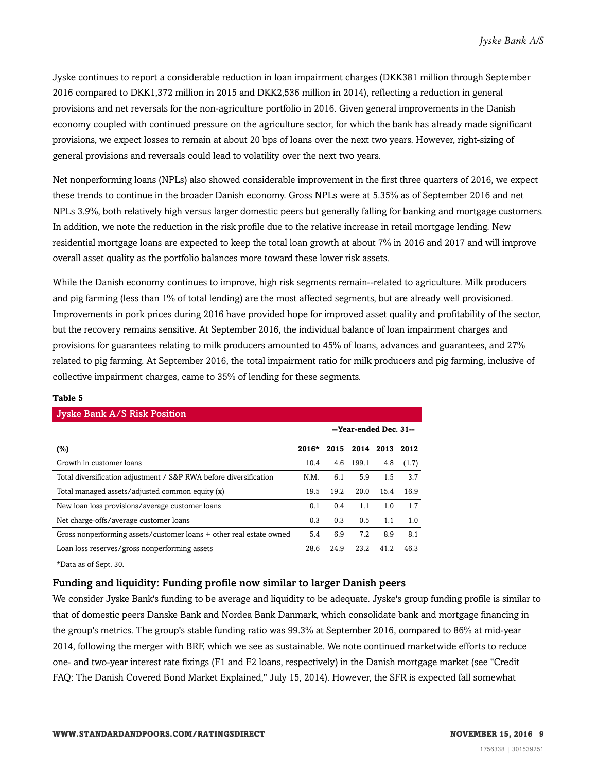Jyske continues to report a considerable reduction in loan impairment charges (DKK381 million through September 2016 compared to DKK1,372 million in 2015 and DKK2,536 million in 2014), reflecting a reduction in general provisions and net reversals for the non-agriculture portfolio in 2016. Given general improvements in the Danish economy coupled with continued pressure on the agriculture sector, for which the bank has already made significant provisions, we expect losses to remain at about 20 bps of loans over the next two years. However, right-sizing of general provisions and reversals could lead to volatility over the next two years.

Net nonperforming loans (NPLs) also showed considerable improvement in the first three quarters of 2016, we expect these trends to continue in the broader Danish economy. Gross NPLs were at 5.35% as of September 2016 and net NPLs 3.9%, both relatively high versus larger domestic peers but generally falling for banking and mortgage customers. In addition, we note the reduction in the risk profile due to the relative increase in retail mortgage lending. New residential mortgage loans are expected to keep the total loan growth at about 7% in 2016 and 2017 and will improve overall asset quality as the portfolio balances more toward these lower risk assets.

While the Danish economy continues to improve, high risk segments remain--related to agriculture. Milk producers and pig farming (less than 1% of total lending) are the most affected segments, but are already well provisioned. Improvements in pork prices during 2016 have provided hope for improved asset quality and profitability of the sector, but the recovery remains sensitive. At September 2016, the individual balance of loan impairment charges and provisions for guarantees relating to milk producers amounted to 45% of loans, advances and guarantees, and 27% related to pig farming. At September 2016, the total impairment ratio for milk producers and pig farming, inclusive of collective impairment charges, came to 35% of lending for these segments.

| <b>Jyske Bank A/S Risk Position</b>                                 |         |      |                        |                |       |  |  |  |
|---------------------------------------------------------------------|---------|------|------------------------|----------------|-------|--|--|--|
|                                                                     |         |      | --Year-ended Dec. 31-- |                |       |  |  |  |
| (%)                                                                 | $2016*$ | 2015 |                        | 2014 2013 2012 |       |  |  |  |
| Growth in customer loans                                            | 10.4    | 4.6  | 199.1                  | 4.8            | (1.7) |  |  |  |
| Total diversification adjustment / S&P RWA before diversification   | N.M.    | 6.1  | 5.9                    | 1.5            | 3.7   |  |  |  |
| Total managed assets/adjusted common equity (x)                     | 19.5    | 19.2 | 20.0                   | 15.4           | 16.9  |  |  |  |
| New loan loss provisions/average customer loans                     | 0.1     | 0.4  | 1.1                    | 1.0            | 1.7   |  |  |  |
| Net charge-offs/average customer loans                              | 0.3     | 0.3  | 0.5                    | 1.1            | 1.0   |  |  |  |
| Gross nonperforming assets/customer loans + other real estate owned | 5.4     | 6.9  | 7.2                    | 8.9            | 8.1   |  |  |  |
| Loan loss reserves/gross nonperforming assets                       | 28.6    | 24.9 | 23.2                   | 41.2           | 46.3  |  |  |  |

#### **Table 5**

\*Data as of Sept. 30.

#### Funding and liquidity: Funding profile now similar to larger Danish peers

We consider Jyske Bank's funding to be average and liquidity to be adequate. Jyske's group funding profile is similar to that of domestic peers Danske Bank and Nordea Bank Danmark, which consolidate bank and mortgage financing in the group's metrics. The group's stable funding ratio was 99.3% at September 2016, compared to 86% at mid-year 2014, following the merger with BRF, which we see as sustainable. We note continued marketwide efforts to reduce one- and two-year interest rate fixings (F1 and F2 loans, respectively) in the Danish mortgage market (see "Credit FAQ: The Danish Covered Bond Market Explained," July 15, 2014). However, the SFR is expected fall somewhat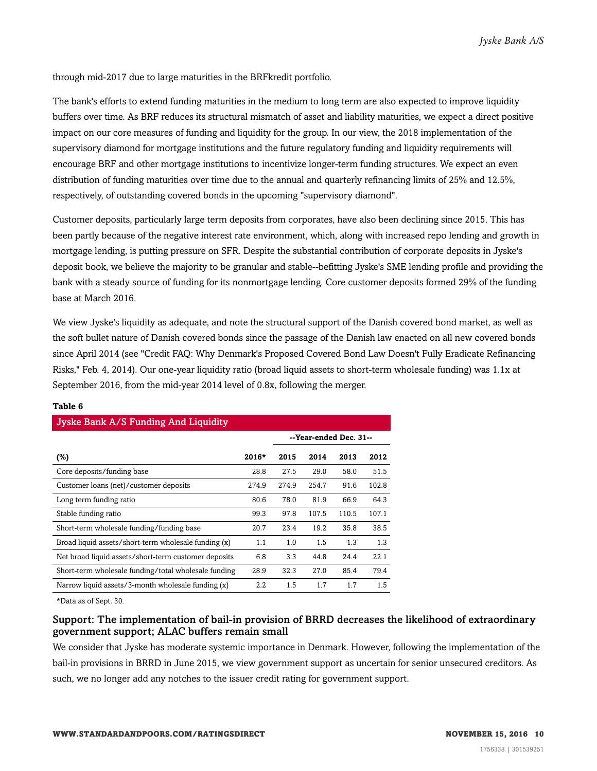through mid-2017 due to large maturities in the BRFkredit portfolio.

The bank's efforts to extend funding maturities in the medium to long term are also expected to improve liquidity buffers over time. As BRF reduces its structural mismatch of asset and liability maturities, we expect a direct positive impact on our core measures of funding and liquidity for the group. In our view, the 2018 implementation of the supervisory diamond for mortgage institutions and the future regulatory funding and liquidity requirements will encourage BRF and other mortgage institutions to incentivize longer-term funding structures. We expect an even distribution of funding maturities over time due to the annual and quarterly refinancing limits of 25% and 12.5%, respectively, of outstanding covered bonds in the upcoming "supervisory diamond".

Customer deposits, particularly large term deposits from corporates, have also been declining since 2015. This has been partly because of the negative interest rate environment, which, along with increased repo lending and growth in mortgage lending, is putting pressure on SFR. Despite the substantial contribution of corporate deposits in Jyske's deposit book, we believe the majority to be granular and stable--befitting Jyske's SME lending profile and providing the bank with a steady source of funding for its nonmortgage lending. Core customer deposits formed 29% of the funding base at March 2016.

We view Jyske's liquidity as adequate, and note the structural support of the Danish covered bond market, as well as the soft bullet nature of Danish covered bonds since the passage of the Danish law enacted on all new covered bonds since April 2014 (see "Credit FAQ: Why Denmark's Proposed Covered Bond Law Doesn't Fully Eradicate Refinancing Risks," Feb. 4, 2014). Our one-year liquidity ratio (broad liquid assets to short-term wholesale funding) was 1.1x at September 2016, from the mid-year 2014 level of 0.8x, following the merger.

| <b>Jyske Bank A/S Funding And Liquidity</b>          |         |       |                        |       |       |  |  |  |
|------------------------------------------------------|---------|-------|------------------------|-------|-------|--|--|--|
|                                                      |         |       | --Year-ended Dec. 31-- |       |       |  |  |  |
| (%)                                                  | $2016*$ | 2015  | 2014                   | 2013  | 2012  |  |  |  |
| Core deposits/funding base                           | 28.8    | 27.5  | 29.0                   | 58.0  | 51.5  |  |  |  |
| Customer loans (net)/customer deposits               | 274.9   | 274.9 | 254.7                  | 91.6  | 102.8 |  |  |  |
| Long term funding ratio                              | 80.6    | 78.0  | 81.9                   | 66.9  | 64.3  |  |  |  |
| Stable funding ratio                                 | 99.3    | 97.8  | 107.5                  | 110.5 | 107.1 |  |  |  |
| Short-term wholesale funding/funding base            | 20.7    | 23.4  | 19.2                   | 35.8  | 38.5  |  |  |  |
| Broad liquid assets/short-term wholesale funding (x) | 1.1     | 1.0   | 1.5                    | 1.3   | 1.3   |  |  |  |
| Net broad liquid assets/short-term customer deposits | 6.8     | 3.3   | 44.8                   | 24.4  | 22.1  |  |  |  |
| Short-term wholesale funding/total wholesale funding | 28.9    | 32.3  | 27.0                   | 85.4  | 79.4  |  |  |  |
| Narrow liquid assets/3-month wholesale funding (x)   | $2.2\,$ | 1.5   | 1.7                    | 1.7   | 1.5   |  |  |  |

#### **Table 6**

\*Data as of Sept. 30.

#### Support: The implementation of bail-in provision of BRRD decreases the likelihood of extraordinary government support; ALAC buffers remain small

We consider that Jyske has moderate systemic importance in Denmark. However, following the implementation of the bail-in provisions in BRRD in June 2015, we view government support as uncertain for senior unsecured creditors. As such, we no longer add any notches to the issuer credit rating for government support.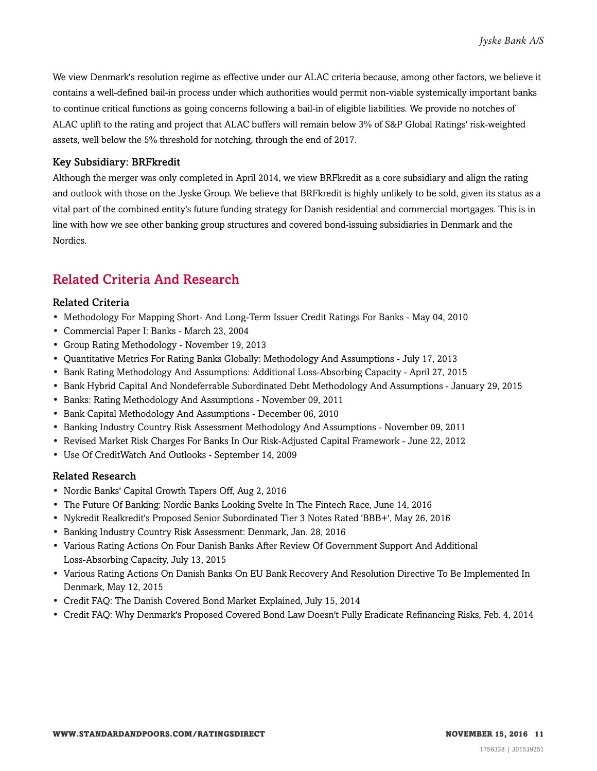We view Denmark's resolution regime as effective under our ALAC criteria because, among other factors, we believe it contains a well-defined bail-in process under which authorities would permit non-viable systemically important banks to continue critical functions as going concerns following a bail-in of eligible liabilities. We provide no notches of ALAC uplift to the rating and project that ALAC buffers will remain below 3% of S&P Global Ratings' risk-weighted assets, well below the 5% threshold for notching, through the end of 2017.

#### Key Subsidiary: BRFkredit

Although the merger was only completed in April 2014, we view BRFkredit as a core subsidiary and align the rating and outlook with those on the Jyske Group. We believe that BRFkredit is highly unlikely to be sold, given its status as a vital part of the combined entity's future funding strategy for Danish residential and commercial mortgages. This is in line with how we see other banking group structures and covered bond-issuing subsidiaries in Denmark and the Nordics.

### <span id="page-10-0"></span>Related Criteria And Research

#### Related Criteria

- Methodology For Mapping Short- And Long-Term Issuer Credit Ratings For Banks May 04, 2010
- Commercial Paper I: Banks March 23, 2004
- Group Rating Methodology November 19, 2013
- Quantitative Metrics For Rating Banks Globally: Methodology And Assumptions July 17, 2013
- Bank Rating Methodology And Assumptions: Additional Loss-Absorbing Capacity April 27, 2015
- Bank Hybrid Capital And Nondeferrable Subordinated Debt Methodology And Assumptions January 29, 2015
- Banks: Rating Methodology And Assumptions November 09, 2011
- Bank Capital Methodology And Assumptions December 06, 2010
- Banking Industry Country Risk Assessment Methodology And Assumptions November 09, 2011
- Revised Market Risk Charges For Banks In Our Risk-Adjusted Capital Framework June 22, 2012
- Use Of CreditWatch And Outlooks September 14, 2009

#### Related Research

- Nordic Banks' Capital Growth Tapers Off, Aug 2, 2016
- The Future Of Banking: Nordic Banks Looking Svelte In The Fintech Race, June 14, 2016
- Nykredit Realkredit's Proposed Senior Subordinated Tier 3 Notes Rated 'BBB+', May 26, 2016
- Banking Industry Country Risk Assessment: Denmark, Jan. 28, 2016
- Various Rating Actions On Four Danish Banks After Review Of Government Support And Additional Loss-Absorbing Capacity, July 13, 2015
- Various Rating Actions On Danish Banks On EU Bank Recovery And Resolution Directive To Be Implemented In Denmark, May 12, 2015
- Credit FAQ: The Danish Covered Bond Market Explained, July 15, 2014
- Credit FAQ: Why Denmark's Proposed Covered Bond Law Doesn't Fully Eradicate Refinancing Risks, Feb. 4, 2014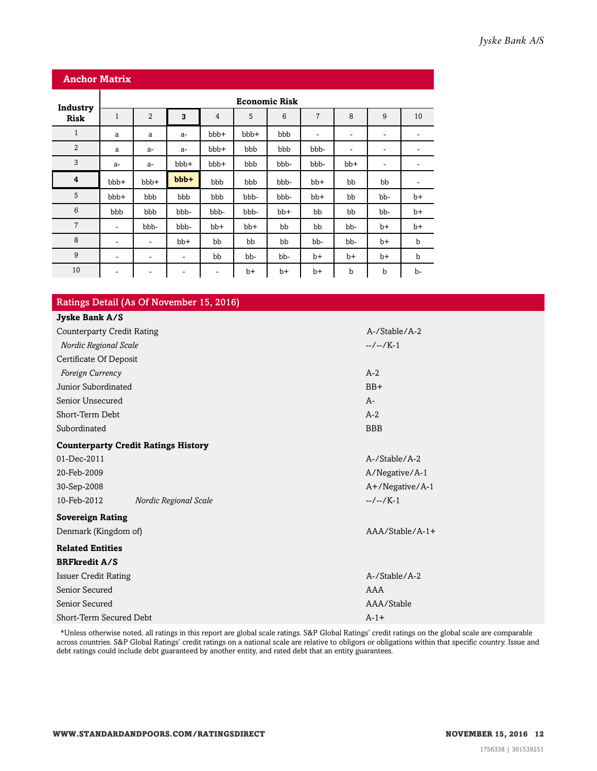| <b>Anchor Matrix</b> |                      |                              |         |                          |      |       |                          |             |                              |      |
|----------------------|----------------------|------------------------------|---------|--------------------------|------|-------|--------------------------|-------------|------------------------------|------|
| Industry             | <b>Economic Risk</b> |                              |         |                          |      |       |                          |             |                              |      |
| <b>Risk</b>          | $\mathbf{1}$         | $\overline{2}$               | 3       | $\overline{4}$           | 5    | 6     | $\overline{7}$           | 8           | 9                            | 10   |
| $\mathbf{1}$         | a                    | a                            | $a-$    | bbb+                     | bbb+ | bbb   | $\overline{\phantom{a}}$ | ۰           | $\qquad \qquad \blacksquare$ | ۰    |
| $\overline{2}$       | a                    | a-                           | a-      | bbb+                     | bbb  | bbb   | bbb-                     | -           | ۰                            | ۰    |
| 3                    | $a-$                 | $a-$                         | bbb+    | bbb+                     | bbb  | bbb-  | bbb-                     | bb+         | -                            |      |
| $\boldsymbol{4}$     | bbb+                 | bbb+                         | $bbb +$ | bbb                      | bbb  | bbb-  | $bb+$                    | bb          | bb                           | ٠    |
| 5                    | bbb+                 | bbb                          | bbb     | bbb                      | bbb- | bbb-  | bb+                      | bb          | bb-                          | b+   |
| $6\phantom{1}6$      | bbb                  | bbb                          | bbb-    | bbb-                     | bbb- | $bb+$ | bb                       | bb          | bb-                          | $b+$ |
| $\overline{7}$       | ۰                    | bbb-                         | bbb-    | $bb+$                    | bb+  | bb    | bb                       | bb-         | $b+$                         | $b+$ |
| 8                    | ۰                    | ٠                            | bb+     | bb                       | bb   | bb    | bb-                      | bb-         | $b+$                         | b    |
| 9                    | ۰                    | $\qquad \qquad \blacksquare$ | -       | bb                       | bb-  | bb-   | b+                       | $b+$        | $b+$                         | b    |
| 10                   | -                    | $\overline{\phantom{a}}$     | ٠       | $\overline{\phantom{a}}$ | $b+$ | b+    | b+                       | $\mathbf b$ | b                            | b-   |

| Ratings Detail (As Of November 15, 2016)   |                  |  |  |  |  |  |  |
|--------------------------------------------|------------------|--|--|--|--|--|--|
| Jyske Bank A/S                             |                  |  |  |  |  |  |  |
| <b>Counterparty Credit Rating</b>          | A-/Stable/A-2    |  |  |  |  |  |  |
| Nordic Regional Scale                      | $-/-/K-1$        |  |  |  |  |  |  |
| Certificate Of Deposit                     |                  |  |  |  |  |  |  |
| Foreign Currency                           | $A-2$            |  |  |  |  |  |  |
| Junior Subordinated                        | $BB+$            |  |  |  |  |  |  |
| Senior Unsecured                           | $A-$             |  |  |  |  |  |  |
| Short-Term Debt                            | $A-2$            |  |  |  |  |  |  |
| Subordinated                               | <b>BBB</b>       |  |  |  |  |  |  |
| <b>Counterparty Credit Ratings History</b> |                  |  |  |  |  |  |  |
| 01-Dec-2011                                | A-/Stable/A-2    |  |  |  |  |  |  |
| 20-Feb-2009                                | A/Negative/A-1   |  |  |  |  |  |  |
| 30-Sep-2008                                | A+/Negative/A-1  |  |  |  |  |  |  |
| 10-Feb-2012<br>Nordic Regional Scale       | $-/-/K-1$        |  |  |  |  |  |  |
| <b>Sovereign Rating</b>                    |                  |  |  |  |  |  |  |
| Denmark (Kingdom of)                       | $AA/Stable/A-1+$ |  |  |  |  |  |  |
| <b>Related Entities</b>                    |                  |  |  |  |  |  |  |
| <b>BRFkredit A/S</b>                       |                  |  |  |  |  |  |  |
| <b>Issuer Credit Rating</b>                | A-/Stable/A-2    |  |  |  |  |  |  |
| Senior Secured                             | AAA              |  |  |  |  |  |  |
| Senior Secured                             | AAA/Stable       |  |  |  |  |  |  |
| Short-Term Secured Debt                    | $A-1+$           |  |  |  |  |  |  |

\*Unless otherwise noted, all ratings in this report are global scale ratings. S&P Global Ratings' credit ratings on the global scale are comparable across countries. S&P Global Ratings' credit ratings on a national scale are relative to obligors or obligations within that specific country. Issue and debt ratings could include debt guaranteed by another entity, and rated debt that an entity guarantees.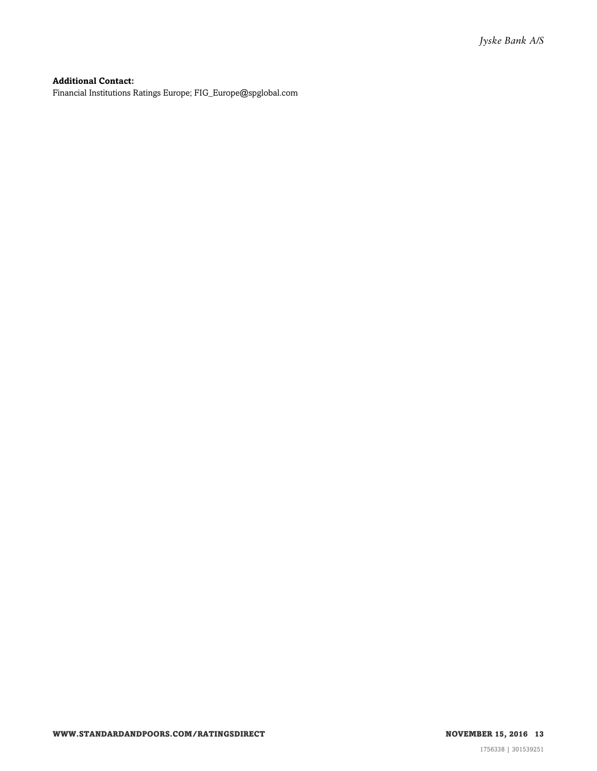#### **Additional Contact:**

Financial Institutions Ratings Europe; FIG\_Europe@spglobal.com